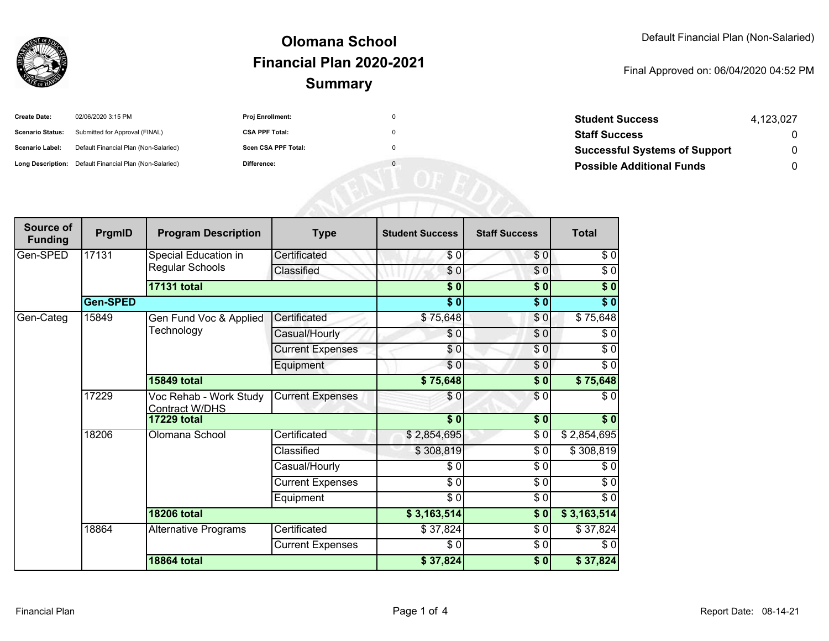

### **SummaryOlomana SchoolFinancial Plan 2020-2021**

#### Final Approved on: 06/04/2020 04:52 PM

| <b>Create Date:</b>     | 02/06/2020 3:15 PM                                      | <b>Proj Enrollment:</b> | 0 |
|-------------------------|---------------------------------------------------------|-------------------------|---|
| <b>Scenario Status:</b> | Submitted for Approval (FINAL)                          | <b>CSA PPF Total:</b>   | 0 |
| <b>Scenario Label:</b>  | Default Financial Plan (Non-Salaried)                   | Scen CSA PPF Total:     | 0 |
|                         | Long Description: Default Financial Plan (Non-Salaried) | Difference:             | 0 |

| <b>Student Success</b>               | 4.123.027 |
|--------------------------------------|-----------|
| <b>Staff Success</b>                 | $\Omega$  |
| <b>Successful Systems of Support</b> | 0         |
| <b>Possible Additional Funds</b>     | O         |

| Source of<br><b>Funding</b> | PrgmID          | <b>Program Description</b>                      | <b>Type</b>             | <b>Student Success</b> | <b>Staff Success</b>       | <b>Total</b> |
|-----------------------------|-----------------|-------------------------------------------------|-------------------------|------------------------|----------------------------|--------------|
| Gen-SPED                    | 17131           | Special Education in<br><b>Regular Schools</b>  | Certificated            | \$0                    | \$0                        | $\sqrt{6}$   |
|                             |                 |                                                 | Classified              | \$0                    | $\frac{6}{6}$              | $\sqrt{6}$   |
|                             |                 | <b>17131 total</b>                              |                         | \$0                    | $\overline{\phantom{0}30}$ | \$0          |
|                             | <b>Gen-SPED</b> |                                                 |                         | $\overline{\$0}$       | \$0                        | \$0          |
| Gen-Categ                   | 15849           | Gen Fund Voc & Applied<br>Technology            | Certificated            | \$75,648               | \$0                        | \$75,648     |
|                             |                 |                                                 | Casual/Hourly           | \$0                    | \$0                        | \$0          |
|                             |                 |                                                 | <b>Current Expenses</b> | \$0                    | \$0                        | $\sqrt{6}$   |
|                             |                 |                                                 | Equipment               | \$0                    | \$0                        | $\sqrt{6}$   |
|                             |                 | <b>15849 total</b>                              |                         | \$75,648               | \$0                        | \$75,648     |
|                             | 17229           | Voc Rehab - Work Study<br><b>Contract W/DHS</b> | <b>Current Expenses</b> | \$0                    | \$0                        | \$0          |
|                             |                 | <b>17229 total</b>                              |                         | $\overline{\$0}$       | \$0                        | \$0          |
|                             | 18206           | Olomana School                                  | Certificated            | \$2,854,695            | \$0                        | \$2,854,695  |
|                             |                 |                                                 | Classified              | \$308,819              | \$0                        | \$308,819    |
|                             |                 |                                                 | Casual/Hourly           | \$0                    | $\frac{1}{6}$              | $\sqrt{6}$   |
|                             |                 |                                                 | <b>Current Expenses</b> | $\overline{\$0}$       | \$0                        | $\sqrt{6}$   |
|                             |                 |                                                 | Equipment               | \$0                    | $\frac{1}{6}$              | $\sqrt{6}$   |
|                             |                 | <b>18206 total</b>                              |                         | \$3,163,514            | $\overline{\$0}$           | \$3,163,514  |
|                             | 18864           | <b>Alternative Programs</b>                     | Certificated            | \$37,824               | \$0                        | \$37,824     |
|                             |                 |                                                 | <b>Current Expenses</b> | \$0                    | \$0                        | \$0          |
|                             |                 | <b>18864 total</b>                              |                         | \$37,824               | \$0                        | \$37,824     |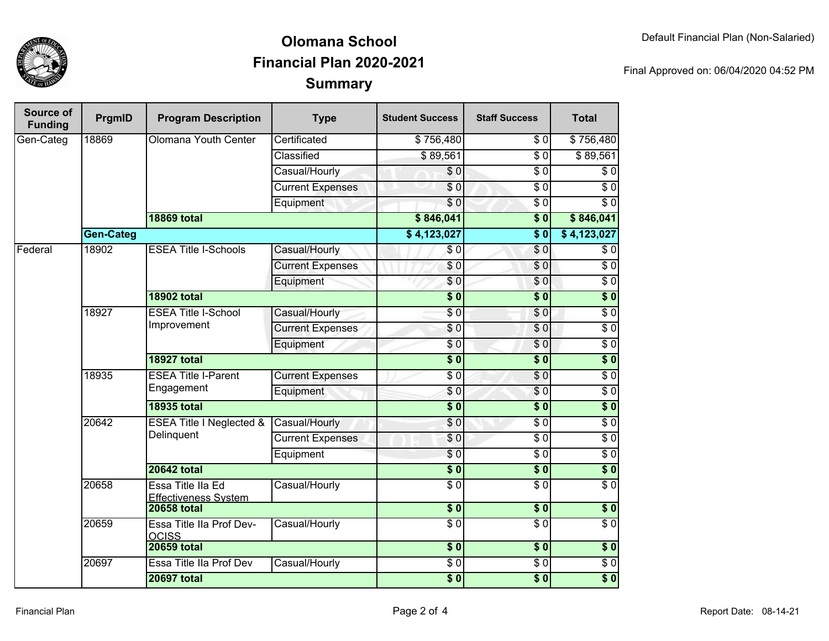

## **SummaryOlomana SchoolFinancial Plan 2020-2021**

Final Approved on: 06/04/2020 04:52 PM

| Source of<br><b>Funding</b> | PrgmID           | <b>Program Description</b>                       | <b>Type</b>             | <b>Student Success</b> | <b>Staff Success</b> | <b>Total</b>     |
|-----------------------------|------------------|--------------------------------------------------|-------------------------|------------------------|----------------------|------------------|
| Gen-Categ                   | 18869            | Olomana Youth Center                             | Certificated            | \$756,480              | \$0                  | \$756,480        |
|                             |                  |                                                  | Classified              | \$89,561               | $\overline{\$0}$     | \$89,561         |
|                             |                  |                                                  | Casual/Hourly           | \$0                    | $\overline{\$0}$     | \$0              |
|                             |                  |                                                  | <b>Current Expenses</b> | \$0                    | $\overline{\$0}$     | $\overline{60}$  |
|                             |                  |                                                  | Equipment               | $\overline{\$0}$       | $\overline{\$0}$     | $\overline{S}0$  |
|                             |                  | <b>18869 total</b>                               |                         | \$846,041              | $\overline{\$0}$     | \$846,041        |
|                             | <b>Gen-Categ</b> |                                                  |                         | \$4,123,027            | $\overline{\bullet}$ | \$4,123,027      |
| Federal                     | 18902            | <b>ESEA Title I-Schools</b>                      | Casual/Hourly           | \$0                    | $\sqrt{6}$           | $\sqrt{6}$       |
|                             |                  |                                                  | <b>Current Expenses</b> | \$0                    | \$0                  | $\overline{0}$   |
|                             |                  |                                                  | Equipment               | \$0                    | \$0                  | $\overline{\$0}$ |
|                             |                  | <b>18902 total</b>                               |                         | $\overline{\$0}$       | $\overline{\$0}$     | $\overline{\$}0$ |
|                             | 18927            | <b>ESEA Title I-School</b><br>Improvement        | Casual/Hourly           | $\sqrt{6}$             | \$0                  | \$0              |
|                             |                  |                                                  | <b>Current Expenses</b> | \$0                    | $\overline{\$0}$     | $\overline{60}$  |
|                             |                  |                                                  | Equipment               | \$0                    | $\overline{\$0}$     | $\sqrt{6}$       |
|                             |                  | <b>18927 total</b>                               |                         | $\overline{\$0}$       | $\overline{\$}0$     | $\overline{\$0}$ |
|                             | 18935            | <b>ESEA Title I-Parent</b><br>Engagement         | <b>Current Expenses</b> | $\overline{30}$        | $\overline{30}$      | $\sqrt{0}$       |
|                             |                  |                                                  | Equipment               | \$0                    | \$0                  | $\overline{60}$  |
|                             |                  | <b>18935 total</b>                               |                         | $\overline{\$0}$       | $\overline{\$0}$     | $\overline{\$0}$ |
|                             | 20642            | ESEA Title I Neglected &<br>Delinquent           | Casual/Hourly           | \$0                    | $\overline{\$0}$     | $\overline{60}$  |
|                             |                  |                                                  | <b>Current Expenses</b> | \$0                    | $\overline{\$0}$     | $\overline{60}$  |
|                             |                  |                                                  | Equipment               | $\overline{\$0}$       | $\overline{\$0}$     | \$0              |
|                             |                  | <b>20642 total</b>                               |                         | $\overline{\$0}$       | $\overline{\$0}$     | $\overline{\$0}$ |
|                             | 20658            | Essa Title IIa Ed<br><b>Effectiveness System</b> | Casual/Hourly           | $\overline{\$0}$       | $\overline{50}$      | $\overline{\$0}$ |
|                             |                  | <b>20658 total</b>                               |                         | $\overline{\$0}$       | \$0                  | $\sqrt{6}$       |
|                             | 20659            | Essa Title IIa Prof Dev-<br><b>OCISS</b>         | Casual/Hourly           | $\overline{\$0}$       | $\overline{\$0}$     | $\overline{\$0}$ |
|                             |                  | <b>20659 total</b>                               |                         | $\overline{\$0}$       | $\overline{\$0}$     | \$0              |
|                             | 20697            | Essa Title IIa Prof Dev                          | Casual/Hourly           | $\overline{60}$        | $\overline{50}$      | $\overline{50}$  |
|                             |                  | <b>20697 total</b>                               |                         | $\sqrt{6}$             | $\sqrt{6}$           | \$0              |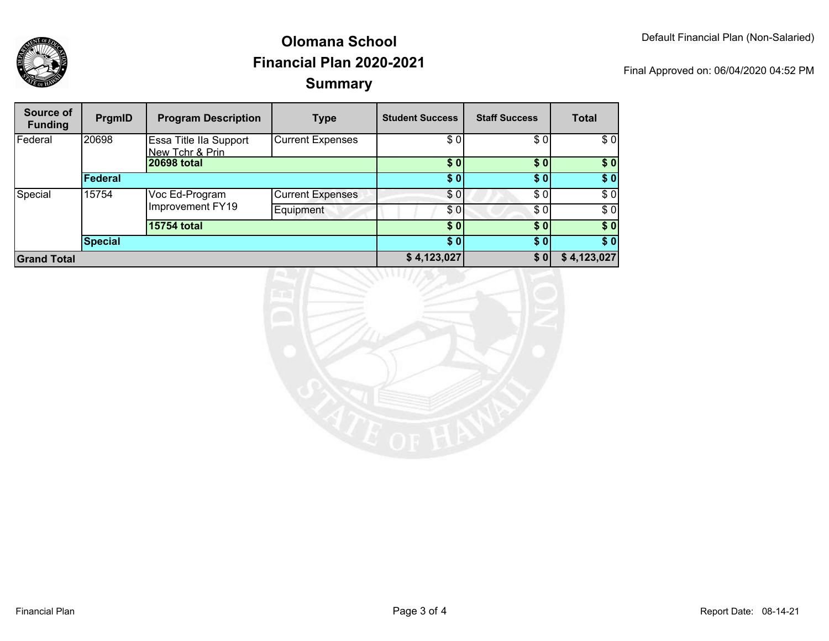

## **SummaryOlomana SchoolFinancial Plan 2020-2021**

Final Approved on: 06/04/2020 04:52 PM

| Source of<br><b>Funding</b> | PrgmID         | <b>Program Description</b>                | <b>Type</b>             | <b>Student Success</b> | <b>Staff Success</b> | <b>Total</b> |
|-----------------------------|----------------|-------------------------------------------|-------------------------|------------------------|----------------------|--------------|
| Federal                     | 20698          | Essa Title IIa Support<br>New Tchr & Prin | <b>Current Expenses</b> | \$0                    | \$0                  | \$0          |
|                             |                | 20698 total                               |                         | \$0                    | \$0                  | \$0          |
|                             | Federal        |                                           |                         | \$0                    | \$0                  | \$0          |
| Special                     | 15754          | Voc Ed-Program<br>Improvement FY19        | <b>Current Expenses</b> | \$0                    | \$0                  | \$0          |
|                             |                |                                           | Equipment               | \$0                    | \$0                  | \$0          |
|                             |                | <b>15754 total</b>                        |                         | \$0                    | \$0                  | \$0          |
|                             | <b>Special</b> |                                           |                         | \$0                    | \$0]                 | \$0          |
| <b>Grand Total</b>          |                |                                           |                         | \$4,123,027            | \$0                  | \$4,123,027  |